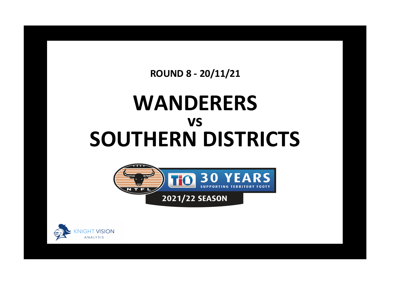**ROUND 8 - 20/11/21**

## **WANDERERS SOUTHERN DISTRICTS vs**



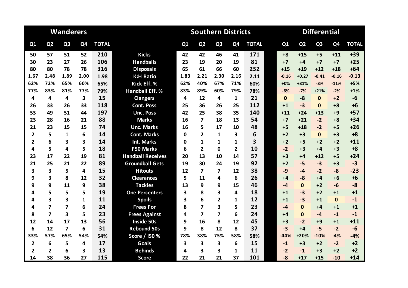|                |                | <b>Wanderers</b>        |              |              |                          |          | <b>Southern Districts</b> |                |                | <b>Differential</b> |  |              |                |                |              |              |
|----------------|----------------|-------------------------|--------------|--------------|--------------------------|----------|---------------------------|----------------|----------------|---------------------|--|--------------|----------------|----------------|--------------|--------------|
| Q1             | Q <sub>2</sub> | Q <sub>3</sub>          | Q4           | <b>TOTAL</b> |                          | Q1       | Q <sub>2</sub>            | Q <sub>3</sub> | Q <sub>4</sub> | <b>TOTAL</b>        |  | Q1           | Q <sub>2</sub> | Q <sub>3</sub> | Q4           | <b>TOTAL</b> |
| 50             | 57             | 51                      | 52           | 210          | <b>Kicks</b>             | 42       | 42                        | 46             | 41             | 171                 |  | $+8$         | $+15$          | $+5$           | $+11$        | $+39$        |
| 30             | 23             | 27                      | 26           | 106          | <b>Handballs</b>         | 23       | 19                        | 20             | 19             | 81                  |  | $+7$         | $+4$           | $+7$           | $+7$         | $+25$        |
| 80             | 80             | 78                      | 78           | 316          | <b>Disposals</b>         | 65       | 61                        | 66             | 60             | 252                 |  | $+15$        | $+19$          | $+12$          | $+18$        | $+64$        |
| 1.67           | 2.48           | 1.89                    | 2.00         | 1.98         | <b>K:H Ratio</b>         | 1.83     | 2.21                      | 2.30           | 2.16           | 2.11                |  | $-0.16$      | $+0.27$        | $-0.41$        | $-0.16$      | $-0.13$      |
| 62%            | 72%            | 65%                     | 60%          | 65%          | Kick Eff. %              | 62%      | 40%                       | 67%            | 71%            | 60%                 |  | $+0%$        | +31%           | $-3%$          | $-11%$       | $+5%$        |
| 77%            | 83%            | 81%                     | 77%          | 79%          | <b>Handball Eff. %</b>   | 83%      | 89%                       | 60%            | 79%            | 78%                 |  | $-6%$        | $-7%$          | $+21%$         | $-2%$        | $+1%$        |
| 4              | 4              | 4                       | 3            | 15           | <b>Clangers</b>          | 4        | 12                        | 4              | $\mathbf{1}$   | 21                  |  | $\mathbf{0}$ | $-8$           | $\mathbf{0}$   | $+2$         | $-6$         |
| 26             | 33             | 26                      | 33           | 118          | <b>Cont. Poss</b>        | 25       | 36                        | 26             | 25             | 112                 |  | $+1$         | $-3$           | $\mathbf{0}$   | $+8$         | $+6$         |
| 53             | 49             | 51                      | 44           | 197          | <b>Unc. Poss</b>         | 42       | 25                        | 38             | 35             | 140                 |  | $+11$        | $+24$          | $+13$          | $+9$         | $+57$        |
| 23             | 28             | 16                      | 21           | 88           | <b>Marks</b>             | 16       | $\overline{\mathbf{z}}$   | 18             | 13             | 54                  |  | $+7$         | $+21$          | $-2$           | $+8$         | $+34$        |
| 21             | 23             | 15                      | 15           | 74           | <b>Unc. Marks</b>        | 16       | 5                         | 17             | 10             | 48                  |  | $+5$         | $+18$          | $-2$           | $+5$         | $+26$        |
| $\mathbf{2}$   | 5              | 1                       | 6            | 14           | <b>Cont. Marks</b>       | $\Omega$ | $\overline{2}$            | 1              | 3              | 6                   |  | $+2$         | $+3$           | $\Omega$       | $+3$         | $+8$         |
| $\overline{2}$ | 6              | 3                       | 3            | 14           | <b>Int. Marks</b>        | 0        | $\mathbf{1}$              | 1              | 1              | 3                   |  | $+2$         | $+5$           | $+2$           | $+2$         | $+11$        |
| 4              | 5              | 4                       | 5            | 18           | F50 Marks                | 6        | $\overline{2}$            | $\mathbf 0$    | $\overline{2}$ | 10                  |  | $-2$         | $+3$           | $+4$           | $+3$         | $+8$         |
| 23             | 17             | 22                      | 19           | 81           | <b>Handball Receives</b> | 20       | 13                        | 10             | 14             | 57                  |  | $+3$         | $+4$           | $+12$          | $+5$         | $+24$        |
| 21             | 25             | 21                      | 22           | 89           | <b>Groundball Gets</b>   | 19       | 30                        | 24             | 19             | 92                  |  | $+2$         | $-5$           | $-3$           | $+3$         | $-3$         |
| 3              | 3              | 5                       | 4            | 15           | <b>Hitouts</b>           | 12       | $\overline{\mathbf{z}}$   | 7              | 12             | 38                  |  | $-9$         | $-4$           | $-2$           | $-8$         | $-23$        |
| 9              | 3              | 8                       | 12           | 32           | <b>Clearances</b>        | 5        | 11                        | 4              | 6              | 26                  |  | $+4$         | $-8$           | $+4$           | $+6$         | $+6$         |
| 9              | 9              | 11                      | 9            | 38           | <b>Tackles</b>           | 13       | 9                         | 9              | 15             | 46                  |  | $-4$         | $\Omega$       | $+2$           | $-6$         | $-8$         |
| 4              | 5              | 5                       | 5            | 19           | <b>One Percenters</b>    | 3        | 8                         | 3              | 4              | 18                  |  | $+1$         | $-3$           | $+2$           | $+1$         | $+1$         |
| 4              | 3              | 3                       | $\mathbf{1}$ | 11           | <b>Spoils</b>            | 3        | 6                         | $\overline{2}$ | 1              | 12                  |  | $+1$         | $-3$           | $+1$           | $\mathbf{0}$ | $-1$         |
| 4              | $\overline{7}$ | $\overline{\mathbf{z}}$ | 6            | 24           | <b>Frees For</b>         | 8        | $\overline{7}$            | 3              | 5              | 23                  |  | -4           | $\Omega$       | +4             | $+1$         | $+1$         |
| 8              | $\overline{7}$ | 3                       | 5            | 23           | <b>Frees Against</b>     | 4        | $\overline{7}$            | 7              | 6              | 24                  |  | $+4$         | $\bf{0}$       | $-4$           | $-1$         | $-1$         |
| 12             | 14             | 17                      | 13           | 56           | <b>Inside 50s</b>        | 9        | 16                        | 8              | 12             | 45                  |  | $+3$         | $-2$           | $+9$           | $+1$         | $+11$        |
| 6              | 12             | $\overline{\mathbf{z}}$ | 6            | 31           | <b>Rebound 50s</b>       | 9        | 8                         | 12             | 8              | 37                  |  | $-3$         | $+4$           | $-5$           | $-2$         | $-6$         |
| 33%            | 57%            | 65%                     | 54%          | 54%          | Score / I50 %            | 78%      | 38%                       | 75%            | 58%            | 58%                 |  | $-44%$       | $+20%$         | $-10%$         | $-4%$        | $-4%$        |
| $\overline{2}$ | 6              | 5                       | 4            | 17           | <b>Goals</b>             | 3        | 3                         | 3              | 6              | 15                  |  | $-1$         | $+3$           | $+2$           | $-2$         | $+2$         |
| $\mathbf{2}$   | 2              | 6                       | 3            | 13           | <b>Behinds</b>           | 4        | 3                         | 3              | 1              | 11                  |  | $-2$         | $-1$           | $+3$           | $+2$         | $+2$         |
| 14             | 38             | 36                      | 27           | 115          | <b>Score</b>             | 22       | 21                        | 21             | 37             | 101                 |  | $-8$         | $+17$          | $+15$          | $-10$        | $+14$        |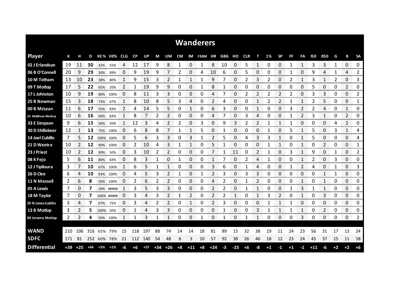|                     |       |             |       |             |            |     |              |           |       |                |              |                              | <b>Wanderers</b> |       |      |            |            |              |      |           |      |                |                |                     |      |                |               |
|---------------------|-------|-------------|-------|-------------|------------|-----|--------------|-----------|-------|----------------|--------------|------------------------------|------------------|-------|------|------------|------------|--------------|------|-----------|------|----------------|----------------|---------------------|------|----------------|---------------|
| <b>Player</b>       | К     | н           | D     |             | KE% HE%    | CLG | <b>CP</b>    | <b>UP</b> | М     | UM             | <b>CM</b>    | IM                           | <b>F50M</b>      | ΗR    | GBG  | но         | <b>CLR</b> | т            | 1%   | <b>SP</b> | FF   | FA             | <b>150</b>     | <b>R50</b>          | G    | B              | <b>SA</b>     |
| 02 J Erlandson      | 19    | 11          | 30    | 42%         | 55%        | 4   | 12           | 17        | 9     | 8              | $\mathbf{1}$ | $\Omega$                     | 1                | 8     | 10   | 0          | 5          | $\mathbf{1}$ | 0    | 0         | 1    | 1              | 3              | 3                   | 1    | 0              | 0             |
| 06 B O'Connell      | 20    | 9           | 29    | 30%         | 89%        | 0   | 9            | 19        | 9     |                | 2            | 0                            | 4                | 10    | 6    | 0          | 5          | O            | Ω    | 0         | 1    | 0              | 9              | 4                   | 1    | 4              | 2             |
| 10 M Totham         | -13   | 10          | 23    | 38%         | 80%        | 1   | 9            | 15        | 3     | 2              | 1            | 1                            | 1                | 9     | 7    | 0          | 2          | 3            | 2    | 0         | 2    | 1              | 3              | 1                   | 2    | 0              | 3             |
| 09 T Motlop         | 17    | 5           | 22    | 65%         | 20%        | 2   | 1            | 19        | 9     | 9              | 0            | 0                            | 1                | 8     | 1    | 0          | 0          | 0            | 0    | 0         | 0    | $\Omega$       | 5              | 0                   | 0    | $\overline{2}$ | 0             |
| 17 L Johnston       | -10   | 9           | 19    | 80%         | 100%       | 0   | 8            | 11        | 3     | 3              | 0            | $\Omega$                     | 0                | 4     | 7    | 0          | 2          | 2            | 2    | 2         | 2    | 0              | 3              | 3                   | 0    | 0              | 2             |
| 25 B Newman         | 15    | 3           | 18    | 73%         | 67%        | 1   | 8            | 10        | 8     | 5              | 3            | 4                            | 0                | 2     | 4    | 0          | 0          | 1            | 2    | 2         |      | 1              | 2              | 5                   | 0    | 0              | 1             |
| 00 B McLean         | 11    | 6           | 17    | 55%         | 83%        | 2   | 4            | 14        | 5     | 5              | 0            | 1                            | 0                | 6     | 3    | 0          | 0          | 1            | Ω    | 0         | 3    | 2              | 2              | 4                   | 0    | 1              | 0             |
| 35 Matthew Motlop   | 10    | 6           | 16    | 60%         | 83%        | 1   | 8            | 7         | 2     | 2              | 0            | 0                            | 0                | 4     | 7    | 0          | 3          | 4            | 0    | 0         | 1    | $\overline{2}$ | 3              | $\mathbf{1}$        | 0    | $\overline{2}$ | 0             |
| 33 E Simpson        | 9     | 6           | 15    | 56%         | 50%        | 1   | 12           | 3         | 4     | 2              | 2            | 0                            | 3                | 0     | 9    | 3          | 2          | 2            | 1    | 1         | 1    | 0              | 0              | 0                   | 4    | 2              | 0             |
| 30 D Shillabeer     | 12    | 1           | 13    | 75%         | 100%       | 0   | 6            | 8         | 8     | 7              | 1            |                              | 5                | 0     | 1    | 0          | 0          | $\Omega$     |      | 0         | 5    | $\mathbf{1}$   | 5              | 0                   | 3    | 1              | 4             |
| 14 Joel Cubillo     | 7     | 5           | 12    | 100% 100%   |            | 0   | 5            | 6         | 3     | 3              | 0            | 3                            | 1                | 2     | 5    | 0          | 4          | 3            | 3    | 1         | 0    | 1              | 5              | 0                   | 0    | 0              | 4             |
| 21 D Weetra         | 10    | 2           | 12    | 90%         | 100%       | 0   | 2            | 10        | 4     | 3              | 1            | 1                            | 0                | 5     | 1    | 0          | 0          | 0            |      | 1         | 0    | $\mathbf{1}$   | 0              | $\overline{2}$      | 0    | 0              | 1             |
| 23 J Priest         | -10   | 2           | 12    | 90%         | 50%        | 0   | 3            | 10        | 2     | 2              | 0            | 0                            | 0                | 7     | 1    | 11         | 0          | 2            | 1    | 0         | 3    | $\mathbf{1}$   | 9              | 0                   | 1    | 0              | 2             |
| 08 K Fejo           | 5     | 6           | 11    | 80%         | 83%        | 0   | 8            | 3         | 1     | 0              | 1            | 0                            | 0                | 1     | 7    | 0          | 2          | 4            |      | 0         | 0    | 1              | $\overline{2}$ | 0                   | 3    | 0              | 0             |
| 12 J Tipiloura      | 3     | 7           | 10    | 67%         | 100%       |     | 6            | 5         | 1     | $\mathbf{1}$   | 0            | 0                            | 0                | 3     | 6    | 0          | 1          | 4            | 0    | 0         | 1    | 2              | 4              | 0                   | 1    | 0              | 3             |
| 26 D Clee           | 6     | 4           | 10    |             | 83% 100%   | 0   | 4            | 5         | 3     | 2              | 1            | 0                            | 1                | 2     | 3    | 0          | 3          | 3            | 0    | 0         | 0    | 0              | 0              | 1                   | 1    | 0              | 0             |
| 11 N Mansell        | 2     | 6           | 8     | 50%         | 100%       | 0   | 2            | 6         | 2     | 2              | 0            | 0                            | 0                | 4     | 2    | 0          | 1          | 2            | 0    | 0         | 0    | 1              | 0              | $\mathbf{1}$        | 0    | 0              | 0             |
| 05 A Lewis          | 7     | 0           | 7     |             | 29% #####  | 1   | 3            | 5         | 3     | 3              | 0            | 0                            | 0                | 2     | 2    | 0          |            |              | Ω    | 0         |      | 3              |                | 1                   | 0    | 0              | 0             |
| 18 M Taylor         | 7     | 0           | 7     |             | 100% ##### | 0   | 3            | 4         | 3     | $\overline{2}$ | 1            | 2                            | 0                | 2     | 2    | 1          | 0          | 1            | 3    | 2         | 0    | 1              | 0              | 3                   | 0    | 0              | 0             |
| 20 N Jones-Cubillo  | 3     | 4<br>anan a | 7     | 67%         | 75%        | 0   | 3<br>n mener | 4         | 2     | 2              | 0            | $\mathbf{1}$<br><b>SOCKS</b> | 0                | 2     | 3    | 0<br>----- | 0          | 0<br>man m   |      | 1         | 1    | 0              | 0              | 0<br><b>Service</b> | 0    | 0<br>on on o   | 0<br>omonom   |
| 13 B Motlop         | 3     | 2           | 5     | 100%        | 50%        | 0   | 1            | 4         | 3     | 3              | 0            | 0                            | 0                | 0     | 1    | 0          | 0          | 3            | 1    | 1         | 1    | 1              | 0              | 2                   | 0    | 0              | 0<br>an an an |
| 04 Jerome Motlop    | 2     | 2           | 4     |             | 50% 100%   | 1   | 1            | 3         | 1     | -1             | 0            | 0                            | 1                | 0     | 1    | 0          | 1          | 1            | 0    | 0         | 0    | 3              | 0              | 0                   | 0    | 0              | 2             |
|                     |       |             |       |             |            |     |              |           |       |                |              |                              |                  |       |      |            |            |              |      |           |      |                |                |                     |      |                |               |
| <b>WAND</b>         | 210   | 106         | 316   | 65%         | 79%        | 15  | 118          | 197       | 88    | 74             | 14           | 14                           | 18               | 81    | 89   | 15         | 32         | 38           | 19   | 11        | 24   | 23             | 56             | 31                  | 17   | 13             | 24            |
| <b>SDFC</b>         | 171   | 81          |       | 252 60% 78% |            | 21  | 112          | - 140     | 54    | 48             | 6            | 3                            | 10               | 57    | 92   | 38         | 26         | 46           | 18   | 12        | 23   | 24             | 45             | 37                  | 15   | 11             | 18            |
| <b>Differential</b> | $+39$ | $+25$       | $+64$ | +5%         | $+1%$      | -6  | $+6$         | $+57$     | $+34$ | $+26$          | $+8$         | $+11$                        | $+8$             | $+24$ | $-3$ | $-23$      | $+6$       | -8           | $+1$ | $-1$      | $+1$ | -1             | $+11$          | $-6$                | $+2$ | $+2$           | $+6$          |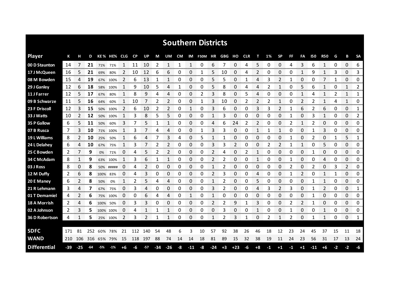|                       |     |       |     |          |                     |    |         |     |       |                |    |       | <b>Southern Districts</b> |       |      |       |    |      |      |              |      |              |       |            |                |              |           |
|-----------------------|-----|-------|-----|----------|---------------------|----|---------|-----|-------|----------------|----|-------|---------------------------|-------|------|-------|----|------|------|--------------|------|--------------|-------|------------|----------------|--------------|-----------|
| <b>Player</b>         | К   |       | D   |          | KE% HE% CLG         |    | CP      | UP  | М     | UM             | CM |       | IM F50M HR GBG HO CLR     |       |      |       |    | т    | 1%   | <b>SP</b>    | FF   | FA           | 150   | <b>R50</b> | G              | B            | <b>SA</b> |
| 00 D Staunton         | 14  |       | 21  | 71%      | 71%                 |    | 11      | 10  | 2     | 1              | 1  | 1     | 0                         | 6     | 7    | 0     | 4  | 5    | 0    | 0            | 4    | 3            | 6     | 1          | 0              | $\Omega$     | 6         |
| 17 J McQueen          | 16  | 5     | 21  | 69%      | 80%                 | 2  | 10      | 12  | 6     | 6              | 0  | 0     | 1                         | 5     | 10   | 0     | 4  |      | Ω    | 0            | 0    | 1            | 9     | 1          | 3              | 0            | 3         |
| 08 M Bowden           | 15  | 4     | 19  | 67%      | 100%                | 2  | 6       | 13  | 1     | 1              | 0  | 0     | 0                         | 5     | 5    | 0     | 1  | 4    | 3    | 2            |      | 0            | 0     | 7          |                | 0            | 0         |
| 29 J Ganley           | 12  | 6     | 18  | 58%      | 100%                | 1  | 9       | 10  | 5     | 4              | 1  | 0     | 0                         | 5     | 8    | 0     | 4  | 4    | 2    | 1            | 0    | 5            | 6     | 1          | 0              | 1            | 2         |
| 11 J Farrer           | 12  | 5     | 17  | 67%      | 80%                 | 1  | 8       | 9   | 4     | 4              | 0  | 0     | 2                         | 3     | 8    | 0     | 5  | 4    | 0    | 0            | 0    | $\mathbf{1}$ | 4     | 1          | $\overline{2}$ | $\mathbf{1}$ | 1         |
| 09 B Schwarze         | 11  | 5     | 16  | 64%      | 60%                 | 1  | 10      | 7   | 2     | $\overline{2}$ | 0  | 0     | 1                         | 3     | 10   | 0     | 2  | 2    | 2    | 1            | 0    | 2            | 2     | 1          | 4              | 1            | 0         |
| 23 F Driscoll         | 12  | 3     | 15  | 50%      | 100%                | 2  | 6       | 10  | 2     | 2              | 0  |       | 0                         | 3     | 6    | 0     | 0  | 3    | 3    | 2            |      | 6            | 2     | 6          | 0              | 0            | 1         |
| 33 J Watts            | 10  | 2     | 12  | 50%      | 100%                | 1  | 3       | 8   | 5     | 5              | 0  | 0     | 0                         | 1     | 3    | 0     | 0  | 0    | 0    | 0            |      | 0            | 3     | 1          | 0              | 0            | 2         |
| 35 P Gallow           | 6   | 5     | 11  | 50%      | 60%                 | 3  | 7       | 5   | 1     | 1              | 0  | 0     | 0                         | 4     | 6    | 24    | 2  | 2    | 0    | 0            | 2    | 1            | 2     | 0          | 0              | 0            | 0         |
| 07 B Rusca            | 7   | 3     | 10  | 71%      | 100%                | 1  | 3       | 7   | 4     | 4              | 0  | 0     | 1                         | 3     | 3    | 0     | 0  | 1    |      | 1            | 0    | 0            | 1     | 3          | 0              | 0            | 0         |
| 19 L Williams         | 8   | 2     | 10  | 25%      | 50%                 |    | 6       | 4   |       | 3              | 4  | 0     | 5                         |       |      | 0     | 0  | 0    | 0    | 0            |      | 0            | 2     | 0          |                | 5            | 1         |
| 24 L Delahey          | 6   | 4     | 10  | 67%      | 75%                 | 1  | 3       |     | 2     | 2              | 0  | 0     | 0                         | 3     | 3    | 2     | 0  | 0    | 2    | 2            |      | 1            | 0     | 5          | 0              | 0            | 0         |
| 25 C Bowden           | 2   | 7     | 9   | 0%       | 71%                 | 0  | 4       | 5   | 2     | 2              | 0  | 0     | 0                         | 2     | 4    | 0     | 2  | 1    | 0    | 0            | 0    | 0            |       | 0          | 0              | 0            | 0         |
| 34 C McAdam           | 8   | 1     | 9   | 63%      | 100%                | 1  | 3       | 6   |       | 1              | 0  | 0     | 0                         | 2     | 2    | 0     | 0  | 1    | 0    | $\Omega$     | 1    | 0            | 0     | 4          | 0              | 0            | 0         |
| 03 J Ross             | 8   | 0     | 8   |          | 50% #####           | 0  | 4       | 2   | 0     | 0              | 0  | 0     | 0                         |       | 2    | 0     | 0  | 0    | 0    | 0            | 2    | 0            | 2     | 0          | 3              | 2            | 0         |
| 12 M Duffy            | 2   | 6     | 8   | 100%     | 83%                 | 0  | 4       | 3   | 0     | 0              | 0  | 0     | 0                         | 2     | 3    | 0     | 0  | 4    | 0    | 0            |      | 2            | 0     | 1          |                | 0            | 0         |
| 20 E Maney            | 6   | 2     | 8   | 50%      | 0%                  | 1  | 2       | 5   | 4     | 4              | 0  | 0     | 0                         | 1     | 2    | 0     | 0  | 5    | 0    | 0            | 0    | 0            |       | 1          | 0              | 0            | 0         |
| 21 R Lehmann          | 3   | 4     | 7   | 67%      | 75%                 | 0  | 3       | Δ   | 0     | 0              | 0  | 0     | 0                         | 3     | 2    | 0     | 0  | 4    | 3    | 2            | 3    | 0            |       | 2          | 0              | 0            | 1         |
| 01 T Demamiel         | 4   | 2     | 6   |          | 75% 100%            | 0  | 0       | 6   | 4     | 4              | 0  | 1     | 0                         | 1     | 0    | 0     | 0  | 0    | 0    | 0            | 0    | 0            |       | 0          | 0              | 0            | 0         |
| 18 A Morrish          | 2   | 4     | 6   | 100% 50% |                     | 0  | 3       | 3   | 0     | 0              | 0  | 0     | 0                         | 2     | 2    | 9     |    | 3    | 0    | 0            | 2    | 2            | 1     | 0          | 0              | 0            | 0         |
| 02 A Johnson          | 2   | 3     | 5   |          | 100% 100%           | 0  | 4       |     | 1     | 1              | 0  | 0     | 0                         | 0     | 3    | 0     | 0  | 1    | 0    | 0            | 1    | 0            | 0     | 1          | 0              | 0            | 0         |
| <b>36 D Robertson</b> | 4   | 1     | 5   |          | 25% 100%            | 2  | 3       | 2   | 1     | 1              | 0  | 0     | 0                         | 1     | 2    | 3     | 1  | 0    | 2    | $\mathbf{1}$ | 2    | 0            | -1    | 1          | 0              | 0            | 1         |
| <b>SDFC</b>           | 171 | 81    | 252 |          | 60% 78%             | 21 | 112     | 140 | 54    | 48             | 6  | 3     | 10                        | 57    | 92   | 38    | 26 | 46   | 18   | 12           | 23   | 24           | 45    | 37         | 15             | 11           | 18        |
| <b>WAND</b>           |     |       |     |          |                     |    |         |     |       |                |    |       |                           |       |      |       |    |      |      |              |      |              |       |            |                |              |           |
|                       |     |       |     |          | 210 106 316 65% 79% | 15 | 118 197 |     | 88    | 74             | 14 | 14    | 18                        | 81    | 89   | 15    | 32 | 38   | 19   | 11           | 24   | 23           | 56    | 31         | 17             | 13           | 24        |
| <b>Differential</b>   | -39 | $-25$ | -64 | -5%      | $-1%$               | +6 | -6      | -57 | $-34$ | $-26$          | -8 | $-11$ | -8                        | $-24$ | $+3$ | $+23$ | -6 | $+8$ | $-1$ | $+1$         | $-1$ | $+1$         | $-11$ | $+6$       | -2             | -2           | -6        |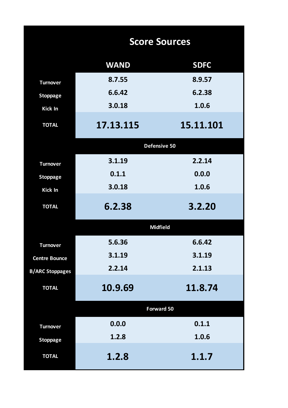|                        |             | <b>Score Sources</b> |
|------------------------|-------------|----------------------|
|                        | <b>WAND</b> | <b>SDFC</b>          |
| <b>Turnover</b>        | 8.7.55      | 8.9.57               |
| <b>Stoppage</b>        | 6.6.42      | 6.2.38               |
| Kick In                | 3.0.18      | 1.0.6                |
| <b>TOTAL</b>           | 17.13.115   | 15.11.101            |
|                        |             | Defensive 50         |
| <b>Turnover</b>        | 3.1.19      | 2.2.14               |
| <b>Stoppage</b>        | 0.1.1       | 0.0.0                |
| <b>Kick In</b>         | 3.0.18      | 1.0.6                |
| <b>TOTAL</b>           | 6.2.38      | 3.2.20               |
|                        |             | <b>Midfield</b>      |
| <b>Turnover</b>        | 5.6.36      | 6.6.42               |
| <b>Centre Bounce</b>   | 3.1.19      | 3.1.19               |
| <b>B/ARC Stoppages</b> | 2.2.14      | 2.1.13               |
| <b>TOTAL</b>           | 10.9.69     | 11.8.74              |
|                        |             | <b>Forward 50</b>    |
| <b>Turnover</b>        | 0.0.0       | 0.1.1                |
| <b>Stoppage</b>        | 1.2.8       | 1.0.6                |
| <b>TOTAL</b>           | 1.2.8       | 1.1.7                |